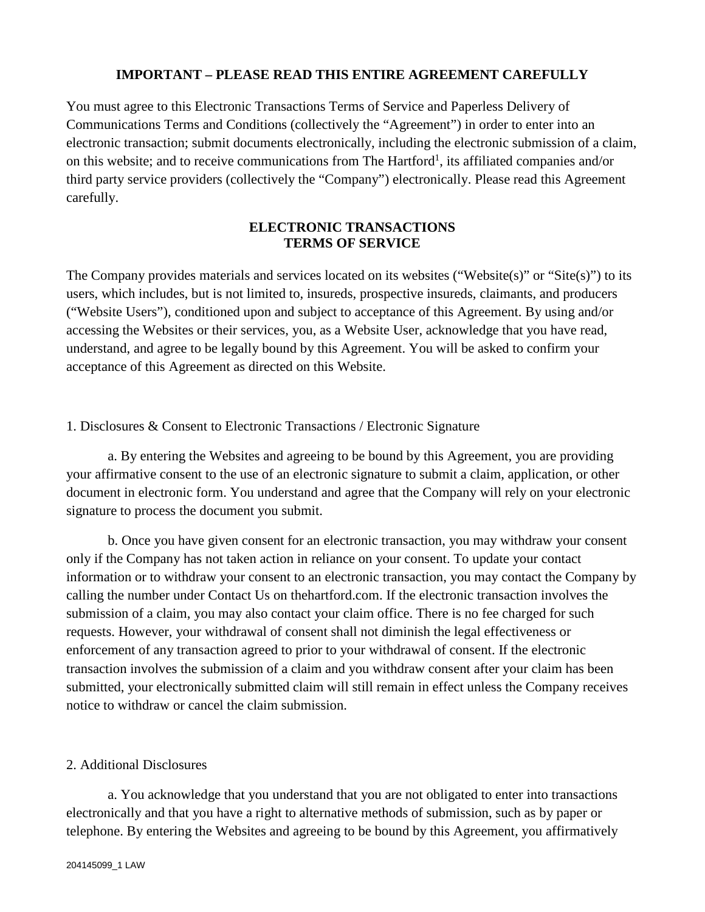#### **IMPORTANT – PLEASE READ THIS ENTIRE AGREEMENT CAREFULLY**

You must agree to this Electronic Transactions Terms of Service and Paperless Delivery of Communications Terms and Conditions (collectively the "Agreement") in order to enter into an electronic transaction; submit documents electronically, including the electronic submission of a claim, on this website; and to receive communications from The Hartford<sup>1</sup>, its affiliated companies and/or third party service providers (collectively the "Company") electronically. Please read this Agreement carefully.

### **ELECTRONIC TRANSACTIONS TERMS OF SERVICE**

The Company provides materials and services located on its websites ("Website(s)" or "Site(s)") to its users, which includes, but is not limited to, insureds, prospective insureds, claimants, and producers ("Website Users"), conditioned upon and subject to acceptance of this Agreement. By using and/or accessing the Websites or their services, you, as a Website User, acknowledge that you have read, understand, and agree to be legally bound by this Agreement. You will be asked to confirm your acceptance of this Agreement as directed on this Website.

### 1. Disclosures & Consent to Electronic Transactions / Electronic Signature

a. By entering the Websites and agreeing to be bound by this Agreement, you are providing your affirmative consent to the use of an electronic signature to submit a claim, application, or other document in electronic form. You understand and agree that the Company will rely on your electronic signature to process the document you submit.

b. Once you have given consent for an electronic transaction, you may withdraw your consent only if the Company has not taken action in reliance on your consent. To update your contact information or to withdraw your consent to an electronic transaction, you may contact the Company by calling the number under Contact Us on thehartford.com. If the electronic transaction involves the submission of a claim, you may also contact your claim office. There is no fee charged for such requests. However, your withdrawal of consent shall not diminish the legal effectiveness or enforcement of any transaction agreed to prior to your withdrawal of consent. If the electronic transaction involves the submission of a claim and you withdraw consent after your claim has been submitted, your electronically submitted claim will still remain in effect unless the Company receives notice to withdraw or cancel the claim submission.

#### 2. Additional Disclosures

a. You acknowledge that you understand that you are not obligated to enter into transactions electronically and that you have a right to alternative methods of submission, such as by paper or telephone. By entering the Websites and agreeing to be bound by this Agreement, you affirmatively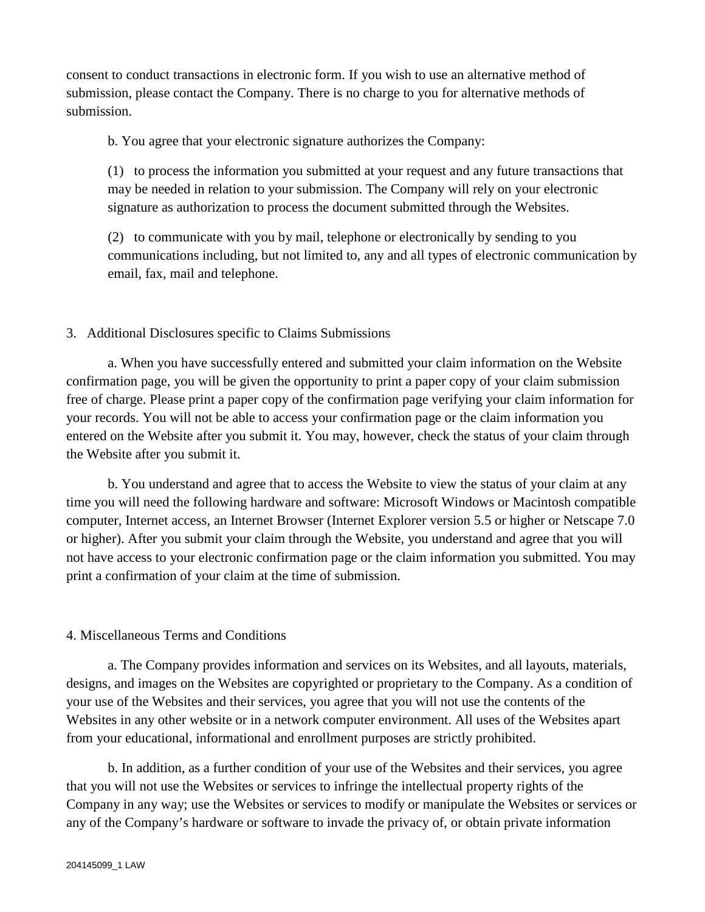consent to conduct transactions in electronic form. If you wish to use an alternative method of submission, please contact the Company. There is no charge to you for alternative methods of submission.

b. You agree that your electronic signature authorizes the Company:

(1) to process the information you submitted at your request and any future transactions that may be needed in relation to your submission. The Company will rely on your electronic signature as authorization to process the document submitted through the Websites.

(2) to communicate with you by mail, telephone or electronically by sending to you communications including, but not limited to, any and all types of electronic communication by email, fax, mail and telephone.

## 3. Additional Disclosures specific to Claims Submissions

a. When you have successfully entered and submitted your claim information on the Website confirmation page, you will be given the opportunity to print a paper copy of your claim submission free of charge. Please print a paper copy of the confirmation page verifying your claim information for your records. You will not be able to access your confirmation page or the claim information you entered on the Website after you submit it. You may, however, check the status of your claim through the Website after you submit it.

b. You understand and agree that to access the Website to view the status of your claim at any time you will need the following hardware and software: Microsoft Windows or Macintosh compatible computer, Internet access, an Internet Browser (Internet Explorer version 5.5 or higher or Netscape 7.0 or higher). After you submit your claim through the Website, you understand and agree that you will not have access to your electronic confirmation page or the claim information you submitted. You may print a confirmation of your claim at the time of submission.

## 4. Miscellaneous Terms and Conditions

a. The Company provides information and services on its Websites, and all layouts, materials, designs, and images on the Websites are copyrighted or proprietary to the Company. As a condition of your use of the Websites and their services, you agree that you will not use the contents of the Websites in any other website or in a network computer environment. All uses of the Websites apart from your educational, informational and enrollment purposes are strictly prohibited.

b. In addition, as a further condition of your use of the Websites and their services, you agree that you will not use the Websites or services to infringe the intellectual property rights of the Company in any way; use the Websites or services to modify or manipulate the Websites or services or any of the Company's hardware or software to invade the privacy of, or obtain private information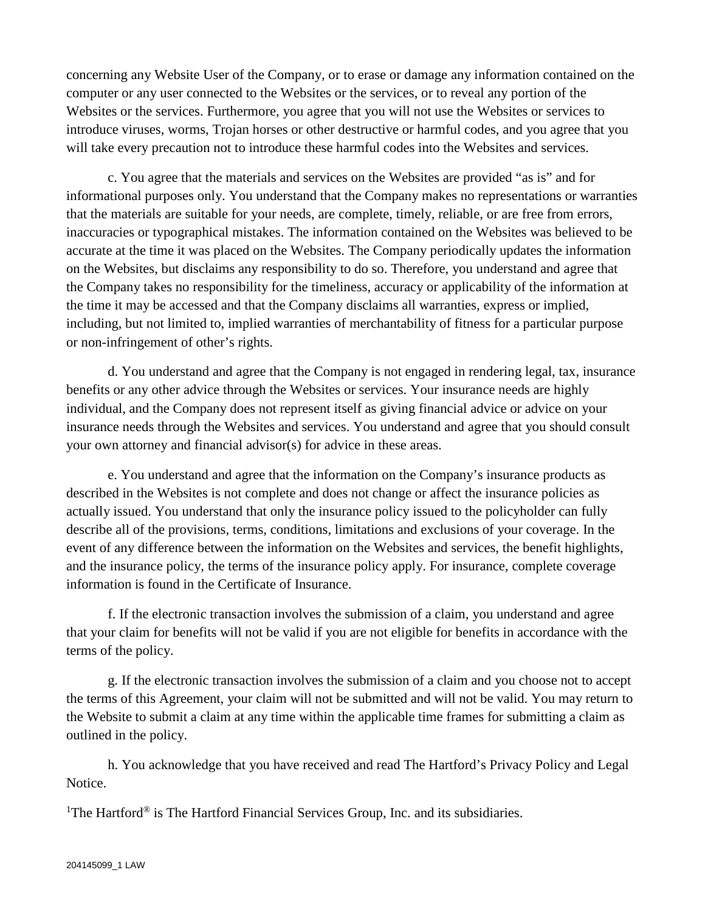concerning any Website User of the Company, or to erase or damage any information contained on the computer or any user connected to the Websites or the services, or to reveal any portion of the Websites or the services. Furthermore, you agree that you will not use the Websites or services to introduce viruses, worms, Trojan horses or other destructive or harmful codes, and you agree that you will take every precaution not to introduce these harmful codes into the Websites and services.

c. You agree that the materials and services on the Websites are provided "as is" and for informational purposes only. You understand that the Company makes no representations or warranties that the materials are suitable for your needs, are complete, timely, reliable, or are free from errors, inaccuracies or typographical mistakes. The information contained on the Websites was believed to be accurate at the time it was placed on the Websites. The Company periodically updates the information on the Websites, but disclaims any responsibility to do so. Therefore, you understand and agree that the Company takes no responsibility for the timeliness, accuracy or applicability of the information at the time it may be accessed and that the Company disclaims all warranties, express or implied, including, but not limited to, implied warranties of merchantability of fitness for a particular purpose or non-infringement of other's rights.

d. You understand and agree that the Company is not engaged in rendering legal, tax, insurance benefits or any other advice through the Websites or services. Your insurance needs are highly individual, and the Company does not represent itself as giving financial advice or advice on your insurance needs through the Websites and services. You understand and agree that you should consult your own attorney and financial advisor(s) for advice in these areas.

e. You understand and agree that the information on the Company's insurance products as described in the Websites is not complete and does not change or affect the insurance policies as actually issued. You understand that only the insurance policy issued to the policyholder can fully describe all of the provisions, terms, conditions, limitations and exclusions of your coverage. In the event of any difference between the information on the Websites and services, the benefit highlights, and the insurance policy, the terms of the insurance policy apply. For insurance, complete coverage information is found in the Certificate of Insurance.

f. If the electronic transaction involves the submission of a claim, you understand and agree that your claim for benefits will not be valid if you are not eligible for benefits in accordance with the terms of the policy.

g. If the electronic transaction involves the submission of a claim and you choose not to accept the terms of this Agreement, your claim will not be submitted and will not be valid. You may return to the Website to submit a claim at any time within the applicable time frames for submitting a claim as outlined in the policy.

h. You acknowledge that you have received and read The Hartford's Privacy Policy and Legal Notice.

<sup>1</sup>The Hartford<sup>®</sup> is The Hartford Financial Services Group, Inc. and its subsidiaries.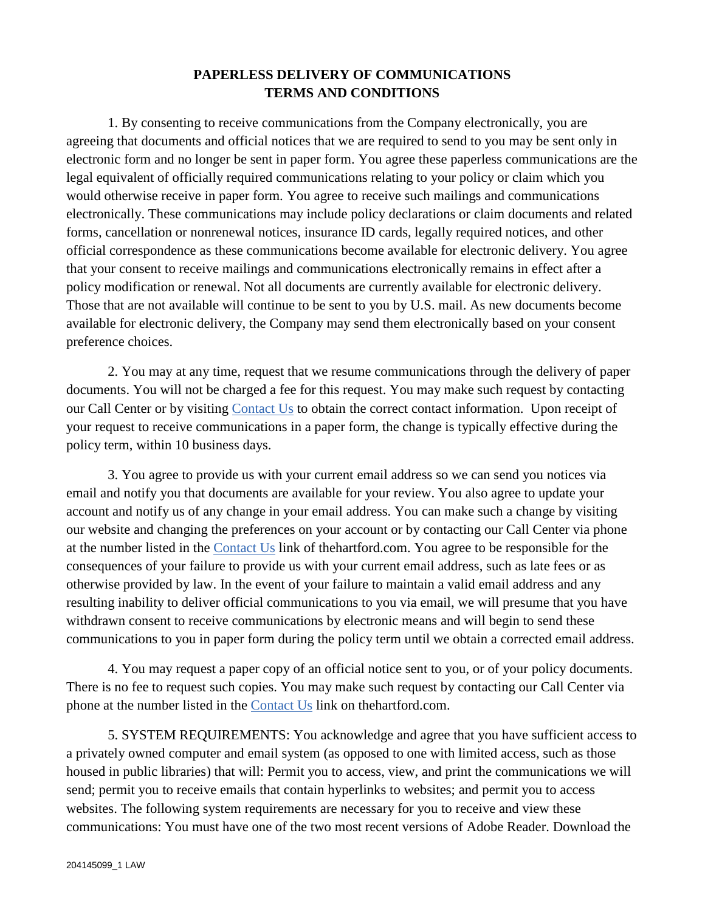# **PAPERLESS DELIVERY OF COMMUNICATIONS TERMS AND CONDITIONS**

1. By consenting to receive communications from the Company electronically, you are agreeing that documents and official notices that we are required to send to you may be sent only in electronic form and no longer be sent in paper form. You agree these paperless communications are the legal equivalent of officially required communications relating to your policy or claim which you would otherwise receive in paper form. You agree to receive such mailings and communications electronically. These communications may include policy declarations or claim documents and related forms, cancellation or nonrenewal notices, insurance ID cards, legally required notices, and other official correspondence as these communications become available for electronic delivery. You agree that your consent to receive mailings and communications electronically remains in effect after a policy modification or renewal. Not all documents are currently available for electronic delivery. Those that are not available will continue to be sent to you by U.S. mail. As new documents become available for electronic delivery, the Company may send them electronically based on your consent preference choices.

2. You may at any time, request that we resume communications through the delivery of paper documents. You will not be charged a fee for this request. You may make such request by contacting our Call Center or by visiting [Contact Us](http://www.thehartford.com/contact-the-hartford) to obtain the correct contact information. Upon receipt of your request to receive communications in a paper form, the change is typically effective during the policy term, within 10 business days.

3. You agree to provide us with your current email address so we can send you notices via email and notify you that documents are available for your review. You also agree to update your account and notify us of any change in your email address. You can make such a change by visiting our website and changing the preferences on your account or by contacting our Call Center via phone at the number listed in the [Contact Us](http://www.thehartford.com/contact-the-hartford) link of thehartford.com. You agree to be responsible for the consequences of your failure to provide us with your current email address, such as late fees or as otherwise provided by law. In the event of your failure to maintain a valid email address and any resulting inability to deliver official communications to you via email, we will presume that you have withdrawn consent to receive communications by electronic means and will begin to send these communications to you in paper form during the policy term until we obtain a corrected email address.

4. You may request a paper copy of an official notice sent to you, or of your policy documents. There is no fee to request such copies. You may make such request by contacting our Call Center via phone at the number listed in the [Contact Us](http://www.thehartford.com/contact-the-hartford) link on thehartford.com.

5. SYSTEM REQUIREMENTS: You acknowledge and agree that you have sufficient access to a privately owned computer and email system (as opposed to one with limited access, such as those housed in public libraries) that will: Permit you to access, view, and print the communications we will send; permit you to receive emails that contain hyperlinks to websites; and permit you to access websites. The following system requirements are necessary for you to receive and view these communications: You must have one of the two most recent versions of Adobe Reader. Download the